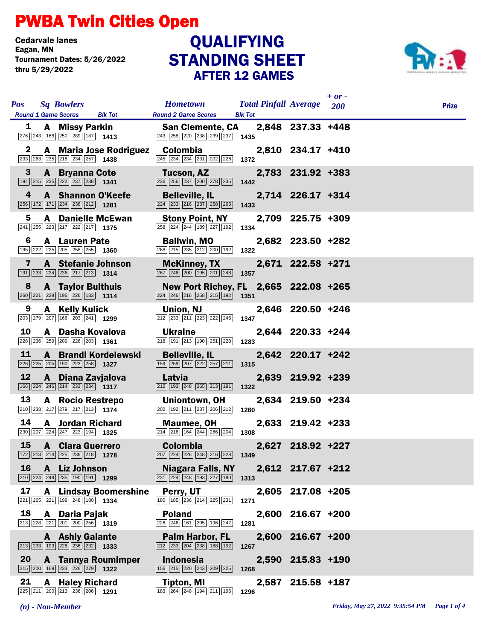## PWBA Twin Cities Open

Cedarvale lanes<br>Eagan, MN Tournament Dates: 5/26/2022 thru 5/29/2022

## STANDING SHEET AFTER 12 GAMES **QUALIFYING**



| <b>Pos</b> |                | <b>Sq Bowlers</b>                                                                                                            |                              | Hometown Total Pinfall Average 200                                                                                                       |                |       |                   | $+ or -$ | <b>Prize</b> |
|------------|----------------|------------------------------------------------------------------------------------------------------------------------------|------------------------------|------------------------------------------------------------------------------------------------------------------------------------------|----------------|-------|-------------------|----------|--------------|
|            | 1              | Round 1 Game Scores Blk Tot<br><b>A</b> Missy Parkin                                                                         |                              | <b>Round 2 Game Scores</b><br><b>San Clemente, CA</b>                                                                                    | <b>Blk Tot</b> |       | 2,848 237.33 +448 |          |              |
|            | 2              | $\boxed{276}$ $\boxed{243}$ $\boxed{168}$ $\boxed{250}$ $\boxed{289}$ $\boxed{187}$ <b>1413</b>                              | A Maria Jose Rodriguez       | $\boxed{243}$ $\boxed{258}$ $\boxed{220}$ $\boxed{238}$ $\boxed{239}$ $\boxed{237}$ <b>1435</b><br>Colombia                              |                |       | 2,810 234.17 +410 |          |              |
|            |                | 233 263 235 216 234 257 1438                                                                                                 |                              | 245 234 234 231 202 226 1372                                                                                                             |                |       |                   |          |              |
|            | 3 <sup>5</sup> | <b>A</b> Bryanna Cote<br>$\boxed{194}$ $\boxed{215}$ $\boxed{235}$ $\boxed{222}$ $\boxed{237}$ $\boxed{238}$ <b>1341</b>     |                              | Tucson, AZ<br>236 256 237 200 278 235                                                                                                    | 1442           |       | 2,783 231.92 +383 |          |              |
|            | 4              | <b>A</b> Shannon O'Keefe<br>$\boxed{256}$ 172 171 234 236 212 1281                                                           |                              | <b>Belleville, IL</b><br>224 233 216 237 258 265                                                                                         | 1433           |       | 2,714 226.17 +314 |          |              |
|            | 5              | <b>A</b> Danielle McEwan<br>$\boxed{241}$ $\boxed{255}$ $\boxed{223}$ $\boxed{217}$ $\boxed{222}$ $\boxed{217}$ <b>1375</b>  |                              | <b>Stony Point, NY</b><br>258 224 244 189 227 192                                                                                        | 1334           |       | 2,709 225.75 +309 |          |              |
|            | 6              | <b>A</b> Lauren Pate<br>195 222 225 205 258 255 1360                                                                         |                              | <b>Ballwin, MO</b><br>268 215 235 212 200 192                                                                                            | 1322           |       | 2,682 223.50 +282 |          |              |
|            | 7              | <b>A</b> Stefanie Johnson<br>$\boxed{191}$ $\boxed{233}$ $\boxed{224}$ $\boxed{236}$ $\boxed{217}$ $\boxed{213}$ <b>1314</b> |                              | <b>McKinney, TX</b><br>267 246 200 195 201 248 1357                                                                                      |                |       | 2,671 222.58 +271 |          |              |
|            | 8              | <b>A</b> Taylor Bulthuis<br>260 221 228 196 226 183 1314                                                                     |                              | New Port Richey, FL 2,665 222.08 +265<br>$\boxed{224}$ $\boxed{246}$ $\boxed{216}$ $\boxed{258}$ $\boxed{215}$ $\boxed{192}$ <b>1351</b> |                |       |                   |          |              |
|            | 9              | A Kelly Kulick<br>203 279 207 166 203 241 1299                                                                               |                              | Union, NJ<br>212 233 211 223 222 246                                                                                                     | 1347           |       | 2,646 220.50 +246 |          |              |
| 10         |                | A Dasha Kovalova<br>228 236 259 209 226 203 1361                                                                             |                              | <b>Ukraine</b><br>218 191 213 190 251 220                                                                                                | 1283           |       | 2,644 220.33 +244 |          |              |
| 11         |                | 226 225 205 190 223 258 1327                                                                                                 | A Brandi Kordelewski         | <b>Belleville, IL</b><br>159 259 207 222 257 211                                                                                         | 1315           |       | 2,642 220.17 +242 |          |              |
| 12         |                | A Diana Zavjalova<br>$\boxed{166}$ $\boxed{224}$ $\boxed{246}$ $\boxed{214}$ $\boxed{233}$ $\boxed{234}$ <b>1317</b>         |                              | Latvia<br>212 193 248 265 213 191                                                                                                        | 1322           |       | 2,639 219.92 +239 |          |              |
| 13         |                | A Rocio Restrepo<br>210 238 217 279 217 213 1374                                                                             |                              | Uniontown, OH<br>$\fbox{202}\ \fbox{192}\ \fbox{211}\ \fbox{237}\ \fbox{206}\ \fbox{212}$                                                | 1260           |       | 2,634 219.50 +234 |          |              |
| 14         |                | <b>A</b> Jordan Richard<br>230 207 224 247 223 194 1325                                                                      |                              | <b>Maumee, OH</b><br>$\boxed{214}$ $\boxed{216}$ $\boxed{164}$ $\boxed{244}$ $\boxed{266}$ $\boxed{204}$                                 | 1308           |       | 2,633 219.42 +233 |          |              |
| 15         |                | <b>A</b> Clara Guerrero<br>$\boxed{172}$ $\boxed{213}$ $\boxed{214}$ $\boxed{225}$ $\boxed{236}$ $\boxed{218}$ <b>1278</b>   |                              | <b>Colombia</b><br>$\boxed{207}$ $\boxed{224}$ $\boxed{226}$ $\boxed{248}$ $\boxed{216}$ $\boxed{228}$ 1349                              |                |       | 2,627 218.92 +227 |          |              |
| 16         |                | A Liz Johnson<br>$\boxed{210}$ $\boxed{224}$ $\boxed{249}$ $\boxed{235}$ $\boxed{190}$ $\boxed{191}$ <b>1299</b>             |                              | <b>Niagara Falls, NY</b><br>231 224 248 193 227 190                                                                                      | 1313           |       | 2,612 217.67 +212 |          |              |
| 17         |                | 221 265 221 199 248 180 1334                                                                                                 | <b>A</b> Lindsay Boomershine | Perry, UT<br>180 185 236 214 225 231                                                                                                     | 1271           |       | 2,605 217.08 +205 |          |              |
| 18         |                | A Daria Pajak<br>$\boxed{213}$ $\boxed{228}$ $\boxed{221}$ $\boxed{201}$ $\boxed{200}$ $\boxed{256}$ <b>1319</b>             |                              | <b>Poland</b><br>226 246 161 205 196 247                                                                                                 | 1281           |       | 2,600 216.67 +200 |          |              |
|            |                | <b>A</b> Ashly Galante<br>$\boxed{213}$ $\boxed{233}$ 193 226 236 232 1333                                                   |                              | Palm Harbor, FL<br>212 233 204 238 188 192                                                                                               | 1267           | 2,600 | $216.67 + 200$    |          |              |
| 20         |                | 215 200 169 233 226 279 1322                                                                                                 | A Tannya Roumimper           | <b>Indonesia</b><br>156 215 220 243 209 225                                                                                              | 1268           | 2,590 | $215.83 + 190$    |          |              |
| 21         |                | <b>A</b> Haley Richard<br>225 211 200 213 236 206 1291                                                                       |                              | <b>Tipton, MI</b><br>183 264 248 194 211 196                                                                                             | 1296           |       | 2,587 215.58 +187 |          |              |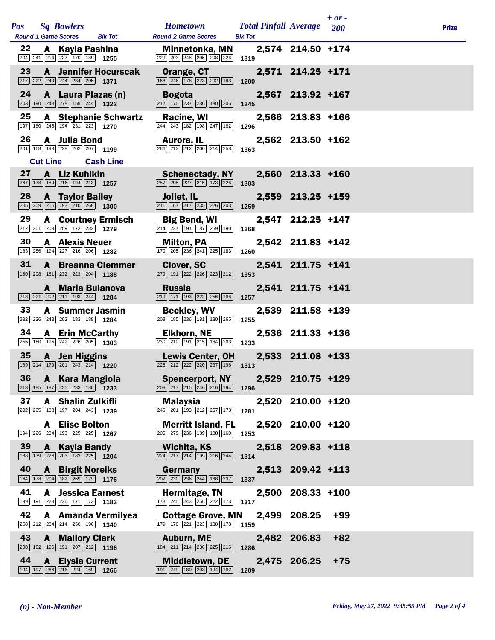| <b>Pos</b> | <b>Sq Bowlers</b><br><b>Round 1 Game Scores</b>                                                                           | <b>Blk Tot</b>                    | <b>Hometown</b><br><b>Round 2 Game Scores</b>                                                                 | <b>Total Pinfall Average</b><br><b>Blk Tot</b> |                   | $+ or -$<br><b>200</b> | <b>Prize</b> |
|------------|---------------------------------------------------------------------------------------------------------------------------|-----------------------------------|---------------------------------------------------------------------------------------------------------------|------------------------------------------------|-------------------|------------------------|--------------|
| 22         | A Kayla Pashina<br>204 241 214 237 170 189 1255                                                                           |                                   | <b>Minnetonka, MN</b><br>229 203 248 205 208 226                                                              | 1319                                           | 2,574 214.50 +174 |                        |              |
| 23         | $\boxed{217}$ $\boxed{222}$ $\boxed{249}$ $\boxed{244}$ $\boxed{234}$ $\boxed{205}$ <b>1371</b>                           | <b>A</b> Jennifer Hocurscak       | Orange, CT<br>168 246 178 223 202 183                                                                         | 1200                                           | 2,571 214.25 +171 |                        |              |
| 24         | $\boxed{203}$ 190 248 278 159 244 1322                                                                                    | A Laura Plazas (n)                | <b>Bogota</b><br>212 175 237 236 180 205                                                                      | 1245                                           | 2,567 213.92 +167 |                        |              |
| 25         | 197 180 245 194 231 223 1270                                                                                              | <b>A</b> Stephanie Schwartz       | Racine, WI<br>244 243 182 198 247 182                                                                         | 1296                                           | 2,566 213.83 +166 |                        |              |
| 26         | A Julia Bond<br>201   168   193   228   202   207   1199                                                                  |                                   | Aurora, IL<br>266 213 212 200 214 258                                                                         | 1363                                           | 2,562 213.50 +162 |                        |              |
|            | <b>Cut Line</b>                                                                                                           | <b>Cash Line</b>                  |                                                                                                               |                                                |                   |                        |              |
| 27         | A Liz Kuhlkin<br>267 178 189 216 194 213 1257                                                                             |                                   | <b>Schenectady, NY</b><br>$\boxed{257}$ $\boxed{205}$ $\boxed{227}$ $\boxed{215}$ $\boxed{173}$ $\boxed{226}$ | 1303                                           | 2,560 213.33 +160 |                        |              |
| 28         | <b>A</b> Taylor Bailey<br>$\boxed{205}$ $\boxed{209}$ $\boxed{215}$ $\boxed{193}$ $\boxed{210}$ $\boxed{268}$ <b>1300</b> |                                   | Joliet, IL<br>211 167 217 235 226 203                                                                         | 1259                                           | 2,559 213.25 +159 |                        |              |
| 29         | 212 201 203 259 172 232                                                                                                   | <b>A</b> Courtney Ermisch<br>1279 | <b>Big Bend, WI</b><br>$\boxed{214}$ $\boxed{227}$ 191 187 259 190                                            | 1268                                           | 2,547 212.25 +147 |                        |              |
| 30         | <b>A</b> Alexis Neuer<br>183 256 194 227 216 206 1282                                                                     |                                   | <b>Milton, PA</b><br>170 205 236 241 225 183                                                                  | 1260                                           | 2,542 211.83 +142 |                        |              |
| 31         | 160 208 161 232 223 204 1188                                                                                              | <b>A</b> Breanna Clemmer          | <b>Clover, SC</b><br>279 191 222 226 223 212                                                                  | 1353                                           | 2,541 211.75 +141 |                        |              |
|            | $\boxed{213}$ $\boxed{221}$ $\boxed{202}$ $\boxed{211}$ $\boxed{193}$ $\boxed{244}$ <b>1284</b>                           | A Maria Bulanova                  | <b>Russia</b><br>219 171 193 222 256 196                                                                      | 1257                                           | 2,541 211.75 +141 |                        |              |
| 33         | 232 236 243 202 183 188 1284                                                                                              | <b>A</b> Summer Jasmin            | <b>Beckley, WV</b><br>208 185 236 181 180 265                                                                 | 1255                                           | 2,539 211.58 +139 |                        |              |
| 34         | <b>A</b> Erin McCarthy<br>$\boxed{255}$ 180 195 242 226 205 1303                                                          |                                   | <b>Elkhorn, NE</b><br>230 210 191 215 184 203                                                                 | 1233                                           | 2,536 211.33 +136 |                        |              |
| 35         | A Jen Higgins<br>169 214 179 201 243 214 1220                                                                             |                                   | <b>Lewis Center, OH</b><br>226 212 222 220 237 196                                                            | 1313                                           | 2,533 211.08 +133 |                        |              |
| 36         | <b>A</b> Kara Mangiola<br>$\boxed{213}$ 185 187 235 233 180 1233                                                          |                                   | <b>Spencerport, NY</b><br>$\boxed{208}$ $\boxed{217}$ $\boxed{215}$ $\boxed{246}$ $\boxed{216}$ $\boxed{194}$ | 1296                                           | 2,529 210.75 +129 |                        |              |
| 37         | A Shalin Zulkifli<br>$\boxed{202}$ $\boxed{205}$ $\boxed{188}$ $\boxed{197}$ $\boxed{204}$ $\boxed{243}$ <b>1239</b>      |                                   | <b>Malaysia</b><br>$\boxed{245}$ $\boxed{201}$ $\boxed{193}$ $\boxed{212}$ $\boxed{257}$ $\boxed{173}$        | 1281                                           | 2,520 210.00 +120 |                        |              |
|            | <b>A</b> Elise Bolton<br>194 226 204 193 225 225 1267                                                                     |                                   | <b>Merritt Island, FL</b><br>205 275 236 189 188 160                                                          | 1253                                           | 2,520 210.00 +120 |                        |              |
| 39         | A Kayla Bandy<br>188 179 226 203 183 225 1204                                                                             |                                   | Wichita, KS<br>$\boxed{224}$ $\boxed{217}$ $\boxed{214}$ $\boxed{199}$ $\boxed{216}$ $\boxed{244}$            | 1314                                           | 2,518 209.83 +118 |                        |              |
| 40         | <b>A</b> Birgit Noreiks<br>164 178 204 182 269 179 1776                                                                   |                                   | Germany<br>202 230 236 244 188 237                                                                            | 1337                                           | 2,513 209.42 +113 |                        |              |
| 41         | 199 191 223 226 171 173 1183                                                                                              | <b>A</b> Jessica Earnest          | Hermitage, TN<br>178 245 243 256 222 173 1317                                                                 |                                                | 2,500 208.33 +100 |                        |              |
| 42         | 258 212 204 214 256 196 1340                                                                                              | A Amanda Vermilyea                | <b>Cottage Grove, MN</b><br>179 170 221 223 188 178 1159                                                      |                                                | 2,499 208.25      | $+99$                  |              |
| 43         | <b>A</b> Mallory Clark<br>208 182 196 191 207 212 1196                                                                    |                                   | <b>Auburn, ME</b><br>184 211 214 236 225 216                                                                  | 1286                                           | 2,482 206.83      | $+82$                  |              |
| 44         | <b>A</b> Elysia Current<br>194 197 266 216 224 169 1266                                                                   |                                   | <b>Middletown, DE</b><br>191 249 180 203 194 192                                                              | 1209                                           | 2,475 206.25      | $+75$                  |              |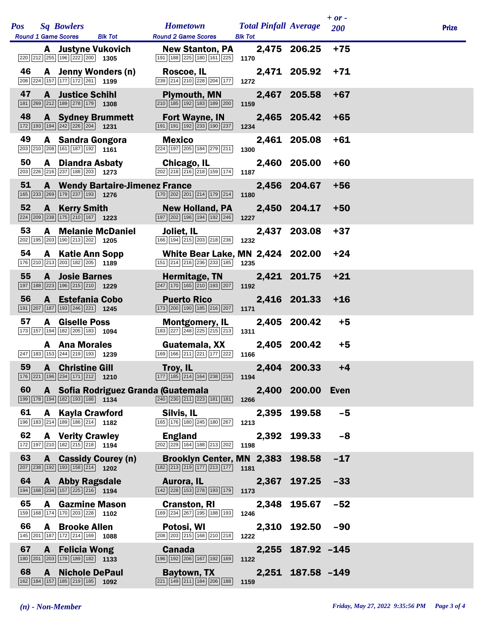| <b>Pos</b> | <b>Sq Bowlers</b><br><b>Round 1 Game Scores</b><br><b>Blk Tot</b>                                                                         | <b>Hometown</b><br><b>Round 2 Game Scores</b>                                                                            | <b>Total Pinfall Average</b><br><b>Blk Tot</b> |                   | $+ or -$<br><b>200</b> | <b>Prize</b> |
|------------|-------------------------------------------------------------------------------------------------------------------------------------------|--------------------------------------------------------------------------------------------------------------------------|------------------------------------------------|-------------------|------------------------|--------------|
|            | A Justyne Vukovich<br>$\boxed{220}$ $\boxed{212}$ $\boxed{255}$ $\boxed{196}$ $\boxed{222}$ $\boxed{200}$ <b>1305</b>                     | <b>New Stanton, PA</b><br>191 188 225 180 161 225                                                                        | 1170                                           | 2,475 206.25      | $+75$                  |              |
| 46         | A Jenny Wonders (n)<br>208 224 157 177 172 261 1199                                                                                       | Roscoe, IL<br>$\boxed{239}$ $\boxed{214}$ $\boxed{210}$ $\boxed{228}$ $\boxed{204}$ $\boxed{177}$ <b>1272</b>            |                                                | 2,471 205.92      | $+71$                  |              |
| 47         | <b>A</b> Justice Schihl<br>181 269 212 189 278 179 1308                                                                                   | <b>Plymouth, MN</b><br>$\boxed{210}$ $\boxed{185}$ $\boxed{192}$ $\boxed{183}$ $\boxed{189}$ $\boxed{200}$               | 1159                                           | 2,467 205.58      | $+67$                  |              |
| 48         | <b>A</b> Sydney Brummett<br>$\boxed{172}$ $\boxed{193}$ $\boxed{194}$ $\boxed{242}$ $\boxed{226}$ $\boxed{204}$ 1231                      | <b>Fort Wayne, IN</b><br>$\boxed{191}$ $\boxed{191}$ $\boxed{192}$ $\boxed{233}$ $\boxed{190}$ $\boxed{237}$             | 1234                                           | 2,465 205.42      | $+65$                  |              |
| 49         | A Sandra Gongora<br>203 210 208 161 187 192 1161                                                                                          | <b>Mexico</b><br>$\boxed{224}$ 197 205 184 279 211                                                                       | 1300                                           | 2,461 205.08      | $+61$                  |              |
| 50         | <b>A</b> Diandra Asbaty<br>$\boxed{203}$ $\boxed{226}$ $\boxed{216}$ $\boxed{237}$ $\boxed{188}$ $\boxed{203}$ 1273                       | Chicago, IL<br>$\boxed{202}$ $\boxed{218}$ $\boxed{216}$ $\boxed{218}$ $\boxed{159}$ $\boxed{174}$ 1187                  |                                                | 2,460 205.00      | $+60$                  |              |
| 51         | <b>A</b> Wendy Bartaire-Jimenez France<br>$\boxed{165}$ $\boxed{233}$ $\boxed{269}$ $\boxed{179}$ $\boxed{237}$ $\boxed{193}$ <b>1276</b> | $\boxed{170}$ $\boxed{202}$ $\boxed{201}$ $\boxed{214}$ $\boxed{179}$ $\boxed{214}$                                      | 1180                                           | 2,456 204.67      | $+56$                  |              |
| 52         | <b>A</b> Kerry Smith<br>224 209 238 175 210 167 1223                                                                                      | <b>New Holland, PA</b><br>197 202 196 194 192 246                                                                        | 1227                                           | 2,450 204.17      | $+50$                  |              |
| 53         | <b>A</b> Melanie McDaniel<br>202 195 203 190 213 202 1205                                                                                 | Joliet, IL<br>166 194 215 203 218 236 1232                                                                               |                                                | 2,437 203.08      | $+37$                  |              |
| 54         | <b>A</b> Katie Ann Sopp<br>176 210 213 203 182 205 189                                                                                    | <b>White Bear Lake, MN 2,424 202.00</b><br>151 214 216 236 233 185 1235                                                  |                                                |                   | $+24$                  |              |
| 55         | <b>A</b> Josie Barnes<br>197 188 223 196 215 210 1229                                                                                     | Hermitage, TN<br>$\boxed{247}$ $\boxed{170}$ $\boxed{165}$ $\boxed{210}$ $\boxed{193}$ $\boxed{207}$                     | 1192                                           | 2,421 201.75      | $+21$                  |              |
| 56         | A Estefania Cobo<br>191 207 187 193 246 221 1245                                                                                          | <b>Puerto Rico</b><br>$\boxed{173}$ $\boxed{200}$ $\boxed{190}$ $\boxed{185}$ $\boxed{216}$ $\boxed{207}$                | 1171                                           | 2,416 201.33      | $+16$                  |              |
| 57         | <b>A</b> Giselle Poss<br>173 157 194 182 205 183 1094                                                                                     | <b>Montgomery, IL</b><br>$\boxed{183}$ $\boxed{227}$ $\boxed{248}$ $\boxed{225}$ $\boxed{215}$ $\boxed{213}$ <b>1311</b> |                                                | 2,405 200.42      | $+5$                   |              |
|            | <b>A</b> Ana Morales<br>247 183 153 244 219 193 1239                                                                                      | Guatemala, XX<br>169 166 211 221 177 222                                                                                 | 1166                                           | 2,405 200.42      | $+5$                   |              |
| 59         | <b>A</b> Christine Gill<br>176 221 196 234 171 212 1210                                                                                   | Troy, IL<br>$\boxed{177}$ $\boxed{185}$ $\boxed{214}$ $\boxed{164}$ $\boxed{238}$ $\boxed{216}$ 1194                     |                                                | 2,404 200.33      | $+4$                   |              |
| 60         | 199 178 194 182 193 188 1134                                                                                                              | A Sofia Rodriguez Granda (Guatemala<br>240 230 211 223 181 181                                                           | 1266                                           | 2,400 200.00 Even |                        |              |
| 61         | A Kayla Crawford<br>196 183 214 189 186 214 182                                                                                           | Silvis, IL<br>$\boxed{165}$ $\boxed{176}$ $\boxed{180}$ $\boxed{245}$ $\boxed{180}$ $\boxed{267}$                        | 1213                                           | 2,395 199.58      | $-5$                   |              |
| 62         | <b>A</b> Verity Crawley<br>172 197 210 182 215 218 1194                                                                                   | <b>England</b><br>202 229 164 188 213 202                                                                                | 2,392<br>1198                                  | 199.33            | $-8$                   |              |
| 63         | A Cassidy Courey (n)<br>$\boxed{207}$ $\boxed{238}$ $\boxed{192}$ $\boxed{193}$ $\boxed{158}$ $\boxed{214}$ <b>1202</b>                   | Brooklyn Center, MN 2,383 198.58<br>$\boxed{182}\boxed{213}\boxed{219}\boxed{177}\boxed{213}\boxed{177}$                 | 1181                                           |                   | $-17$                  |              |
| 64         | <b>A</b> Abby Ragsdale<br>194 168 234 157 225 216 1194                                                                                    | Aurora, IL<br>142 28 153 278 193 179 173                                                                                 | 2,367                                          | 197.25            | $-33$                  |              |
| 65         | <b>A</b> Gazmine Mason<br>159 168 174 170 203 228 1102                                                                                    | <b>Cranston, RI</b><br>169 234 267 195 188 193                                                                           | 1246                                           | 2,348 195.67      | $-52$                  |              |
| 66         | A Brooke Allen<br>145 201 187 172 214 169 1088                                                                                            | Potosi, WI<br>208 203 215 168 210 218                                                                                    | 1222                                           | 2,310 192.50      | $-90$                  |              |
| 67         | <b>A</b> Felicia Wong<br>180 201 203 178 189 182 1133                                                                                     | <b>Canada</b><br>196 192 206 167 192 169                                                                                 | 1122                                           | 2,255 187.92 -145 |                        |              |
| 68         | <b>A</b> Nichole DePaul<br>162 184 157 185 219 185 1092                                                                                   | Baytown, TX<br>221 149 211 184 206 188                                                                                   | 1159                                           | 2,251 187.58 -149 |                        |              |